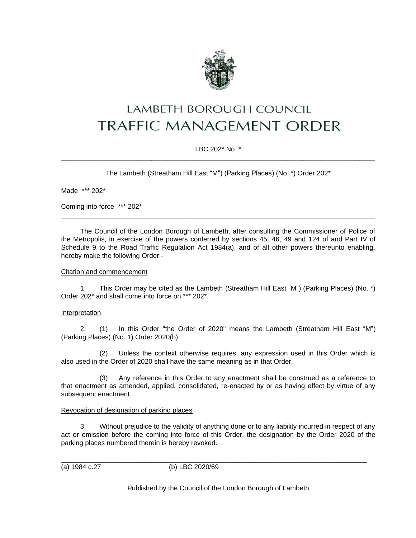

# LAMBETH BOROUGH COUNCIL **TRAFFIC MANAGEMENT ORDER**

# LBC 202\* No. \* \_\_\_\_\_\_\_\_\_\_\_\_\_\_\_\_\_\_\_\_\_\_\_\_\_\_\_\_\_\_\_\_\_\_\_\_\_\_\_\_\_\_\_\_\_\_\_\_\_\_\_\_\_\_\_\_\_\_\_\_\_\_\_\_\_\_\_\_\_\_\_\_\_\_\_\_\_\_\_\_\_\_\_

The Lambeth (Streatham Hill East "M") (Parking Places) (No. \*) Order 202\*

Made \*\*\* 202\*

Coming into force \*\*\* 202\*

The Council of the London Borough of Lambeth, after consulting the Commissioner of Police of the Metropolis, in exercise of the powers conferred by sections 45, 46, 49 and 124 of and Part IV of Schedule 9 to the Road Traffic Regulation Act 1984(a), and of all other powers thereunto enabling, hereby make the following Order:-

\_\_\_\_\_\_\_\_\_\_\_\_\_\_\_\_\_\_\_\_\_\_\_\_\_\_\_\_\_\_\_\_\_\_\_\_\_\_\_\_\_\_\_\_\_\_\_\_\_\_\_\_\_\_\_\_\_\_\_\_\_\_\_\_\_\_\_\_\_\_\_\_\_\_\_\_\_\_\_\_\_\_\_

#### Citation and commencement

1. This Order may be cited as the Lambeth (Streatham Hill East "M") (Parking Places) (No. \*) Order 202\* and shall come into force on \*\*\* 202\*.

# Interpretation

2. (1) In this Order "the Order of 2020" means the Lambeth (Streatham Hill East "M") (Parking Places) (No. 1) Order 2020(b).

(2) Unless the context otherwise requires, any expression used in this Order which is also used in the Order of 2020 shall have the same meaning as in that Order.

(3) Any reference in this Order to any enactment shall be construed as a reference to that enactment as amended, applied, consolidated, re-enacted by or as having effect by virtue of any subsequent enactment.

#### Revocation of designation of parking places

3. Without prejudice to the validity of anything done or to any liability incurred in respect of any act or omission before the coming into force of this Order, the designation by the Order 2020 of the parking places numbered therein is hereby revoked.

\_\_\_\_\_\_\_\_\_\_\_\_\_\_\_\_\_\_\_\_\_\_\_\_\_\_\_\_\_\_\_\_\_\_\_\_\_\_\_\_\_\_\_\_\_\_\_\_\_\_\_\_\_\_\_\_\_\_\_\_\_\_\_\_\_\_\_\_\_\_\_\_\_\_\_\_\_\_\_\_\_ (a) 1984 c.27 (b) LBC 2020/69

Published by the Council of the London Borough of Lambeth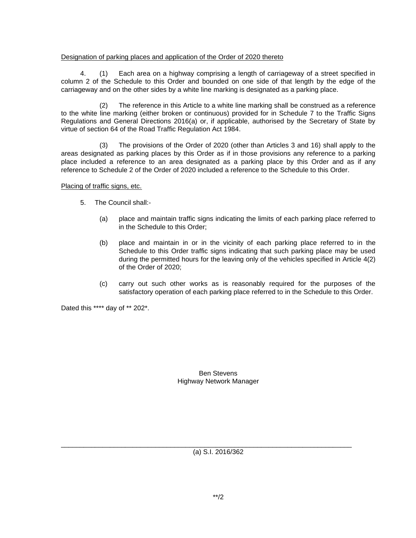## Designation of parking places and application of the Order of 2020 thereto

4. (1) Each area on a highway comprising a length of carriageway of a street specified in column 2 of the Schedule to this Order and bounded on one side of that length by the edge of the carriageway and on the other sides by a white line marking is designated as a parking place.

(2) The reference in this Article to a white line marking shall be construed as a reference to the white line marking (either broken or continuous) provided for in Schedule 7 to the Traffic Signs Regulations and General Directions 2016(a) or, if applicable, authorised by the Secretary of State by virtue of section 64 of the Road Traffic Regulation Act 1984.

(3) The provisions of the Order of 2020 (other than Articles 3 and 16) shall apply to the areas designated as parking places by this Order as if in those provisions any reference to a parking place included a reference to an area designated as a parking place by this Order and as if any reference to Schedule 2 of the Order of 2020 included a reference to the Schedule to this Order.

#### Placing of traffic signs, etc.

- 5. The Council shall:-
	- (a) place and maintain traffic signs indicating the limits of each parking place referred to in the Schedule to this Order;
	- (b) place and maintain in or in the vicinity of each parking place referred to in the Schedule to this Order traffic signs indicating that such parking place may be used during the permitted hours for the leaving only of the vehicles specified in Article 4(2) of the Order of 2020;
	- (c) carry out such other works as is reasonably required for the purposes of the satisfactory operation of each parking place referred to in the Schedule to this Order.

Dated this \*\*\*\* day of \*\* 202\*.

## Ben Stevens Highway Network Manager

(a) S.I. 2016/362

\_\_\_\_\_\_\_\_\_\_\_\_\_\_\_\_\_\_\_\_\_\_\_\_\_\_\_\_\_\_\_\_\_\_\_\_\_\_\_\_\_\_\_\_\_\_\_\_\_\_\_\_\_\_\_\_\_\_\_\_\_\_\_\_\_\_\_\_\_\_\_\_\_\_\_\_\_